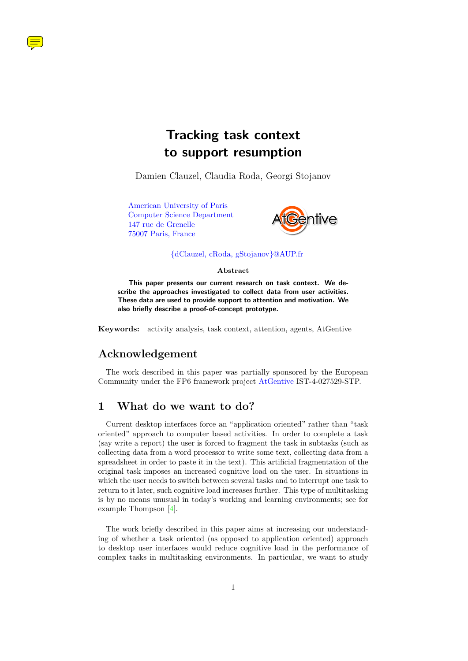<span id="page-0-0"></span>

Damien Clauzel, Claudia Roda, Georgi Stojanov

[American University of Paris](http://www.AUP.fr) [Computer Science Department](http://www.AUP.fr) [147 rue de Grenelle](http://www.AUP.fr) [75007 Paris, France](http://www.AUP.fr)



### [{dClauzel, cRoda, gStojanov}@AUP.fr](mailto:dClauzel@AUP.fr?CC=cRoda@AUP.fr&CC=gStojanov@AUP.fr)

#### **Abstract**

**This paper presents our current research on task context. We describe the approaches investigated to collect data from user activities. These data are used to provide support to attention and motivation. We also briefly describe a proof-of-concept prototype.**

**Keywords:** activity analysis, task context, attention, agents, AtGentive

# **Acknowledgement**

The work described in this paper was partially sponsored by the European Community under the FP6 framework project [AtGentive](http://www.AtGentive.com) IST-4-027529-STP.

### **1 What do we want to do?**

Current desktop interfaces force an "application oriented" rather than "task oriented" approach to computer based activities. In order to complete a task (say write a report) the user is forced to fragment the task in subtasks (such as collecting data from a word processor to write some text, collecting data from a spreadsheet in order to paste it in the text). This artificial fragmentation of the original task imposes an increased cognitive load on the user. In situations in which the user needs to switch between several tasks and to interrupt one task to return to it later, such cognitive load increases further. This type of multitasking is by no means unusual in today's working and learning environments; see for example Thompson [\[4\]](#page-2-0).

The work briefly described in this paper aims at increasing our understanding of whether a task oriented (as opposed to application oriented) approach to desktop user interfaces would reduce cognitive load in the performance of complex tasks in multitasking environments. In particular, we want to study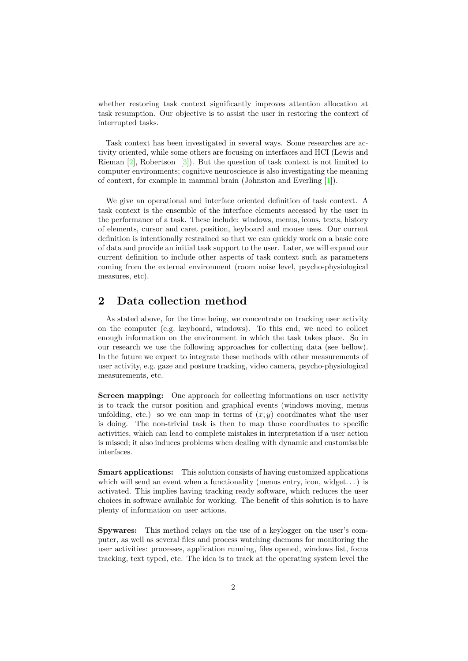<span id="page-1-0"></span>whether restoring task context significantly improves attention allocation at task resumption. Our objective is to assist the user in restoring the context of interrupted tasks.

Task context has been investigated in several ways. Some researches are activity oriented, while some others are focusing on interfaces and HCI (Lewis and Rieman [\[2\]](#page-2-1), Robertson [\[3\]](#page-2-2)). But the question of task context is not limited to computer environments; cognitive neuroscience is also investigating the meaning of context, for example in mammal brain (Johnston and Everling [\[1\]](#page-2-3)).

We give an operational and interface oriented definition of task context. A task context is the ensemble of the interface elements accessed by the user in the performance of a task. These include: windows, menus, icons, texts, history of elements, cursor and caret position, keyboard and mouse uses. Our current definition is intentionally restrained so that we can quickly work on a basic core of data and provide an initial task support to the user. Later, we will expand our current definition to include other aspects of task context such as parameters coming from the external environment (room noise level, psycho-physiological measures, etc).

# **2 Data collection method**

As stated above, for the time being, we concentrate on tracking user activity on the computer (e.g. keyboard, windows). To this end, we need to collect enough information on the environment in which the task takes place. So in our research we use the following approaches for collecting data (see bellow). In the future we expect to integrate these methods with other measurements of user activity, e.g. gaze and posture tracking, video camera, psycho-physiological measurements, etc.

**Screen mapping:** One approach for collecting informations on user activity is to track the cursor position and graphical events (windows moving, menus unfolding, etc.) so we can map in terms of  $(x, y)$  coordinates what the user is doing. The non-trivial task is then to map those coordinates to specific activities, which can lead to complete mistakes in interpretation if a user action is missed; it also induces problems when dealing with dynamic and customisable interfaces.

**Smart applications:** This solution consists of having customized applications which will send an event when a functionality (menus entry, icon, widget...) is activated. This implies having tracking ready software, which reduces the user choices in software available for working. The benefit of this solution is to have plenty of information on user actions.

**Spywares:** This method relays on the use of a keylogger on the user's computer, as well as several files and process watching daemons for monitoring the user activities: processes, application running, files opened, windows list, focus tracking, text typed, etc. The idea is to track at the operating system level the